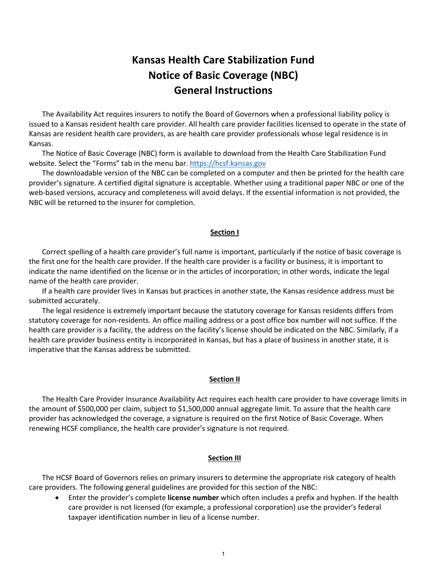# **Kansas Health Care Stabilization Fund Notice of Basic Coverage (NBC) General Instructions**

The Availability Act requires insurers to notify the Board of Governors when a professional liability policy is issued to a Kansas resident health care provider. All health care provider facilities licensed to operate in the state of Kansas are resident health care providers, as are health care provider professionals whose legal residence is in Kansas.

The Notice of Basic Coverage (NBC) form is available to download from the Health Care Stabilization Fund website. Select the "Forms" tab in the menu bar. https://hcsf.kansas.gov

The downloadable version of the NBC can be completed on a computer and then be printed for the health care provider's signature. A certified digital signature is acceptable. Whether using a traditional paper NBC or one of the web-based versions, accuracy and completeness will avoid delays. If the essential information is not provided, the NBC will be returned to the insurer for completion.

## **Section I**

Correct spelling of a health care provider's full name is important, particularly if the notice of basic coverage is the first one for the health care provider. If the health care provider is a facility or business, it is important to indicate the name identified on the license or in the articles of incorporation; in other words, indicate the legal name of the health care provider.

If a health care provider lives in Kansas but practices in another state, the Kansas residence address must be submitted accurately.

The legal residence is extremely important because the statutory coverage for Kansas residents differs from statutory coverage for non-residents. An office mailing address or a post office box number will not suffice. If the health care provider is a facility, the address on the facility's license should be indicated on the NBC. Similarly, if a health care provider business entity is incorporated in Kansas, but has a place of business in another state, it is imperative that the Kansas address be submitted.

## **Section II**

The Health Care Provider Insurance Availability Act requires each health care provider to have coverage limits in the amount of \$500,000 per claim, subject to \$1,500,000 annual aggregate limit. To assure that the health care provider has acknowledged the coverage, a signature is required on the first Notice of Basic Coverage. When renewing HCSF compliance, the health care provider's signature is not required.

## **Section III**

The HCSF Board of Governors relies on primary insurers to determine the appropriate risk category of health care providers. The following general guidelines are provided for this section of the NBC:

• Enter the provider's complete **license number** which often includes a prefix and hyphen. If the health care provider is not licensed (for example, a professional corporation) use the provider's federal taxpayer identification number in lieu of a license number.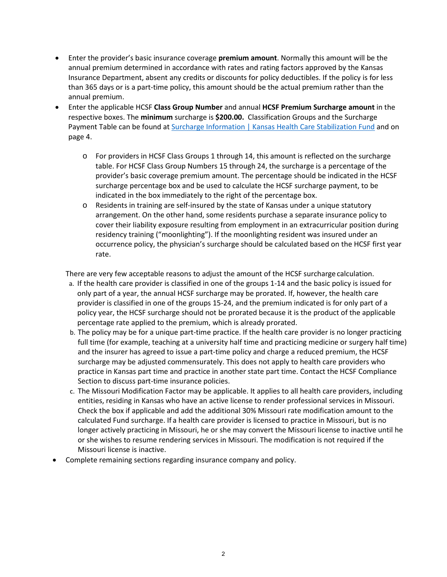- Enter the provider's basic insurance coverage **premium amount**. Normally this amount will be the annual premium determined in accordance with rates and rating factors approved by the Kansas Insurance Department, absent any credits or discounts for policy deductibles. If the policy is for less than 365 days or is a part-time policy, this amount should be the actual premium rather than the annual premium.
- Enter the applicable HCSF **Class Group Number** and annual **HCSF Premium Surcharge amount** in the respective boxes. The **minimum** surcharge is **\$200.00.** Classification Groups and the Surcharge Payment Table can be found at [Surcharge Information | Kansas Health Care Stabilization Fund](https://hcsf.kansas.gov/surcharge-information/?preview_id=224&preview_nonce=9364762c2a&_thumbnail_id=-1&preview=true) and on page 4.
	- o For providers in HCSF Class Groups 1 through 14, this amount is reflected on the surcharge table. For HCSF Class Group Numbers 15 through 24, the surcharge is a percentage of the provider's basic coverage premium amount. The percentage should be indicated in the HCSF surcharge percentage box and be used to calculate the HCSF surcharge payment, to be indicated in the box immediately to the right of the percentage box.
	- o Residents in training are self-insured by the state of Kansas under a unique statutory arrangement. On the other hand, some residents purchase a separate insurance policy to cover their liability exposure resulting from employment in an extracurricular position during residency training ("moonlighting"). If the moonlighting resident was insured under an occurrence policy, the physician's surcharge should be calculated based on the HCSF first year rate.

There are very few acceptable reasons to adjust the amount of the HCSF surcharge calculation.

- a. If the health care provider is classified in one of the groups 1-14 and the basic policy is issued for only part of a year, the annual HCSF surcharge may be prorated. If, however, the health care provider is classified in one of the groups 15-24, and the premium indicated is for only part of a policy year, the HCSF surcharge should not be prorated because it is the product of the applicable percentage rate applied to the premium, which is already prorated.
- b. The policy may be for a unique part-time practice. If the health care provider is no longer practicing full time (for example, teaching at a university half time and practicing medicine or surgery half time) and the insurer has agreed to issue a part-time policy and charge a reduced premium, the HCSF surcharge may be adjusted commensurately. This does not apply to health care providers who practice in Kansas part time and practice in another state part time. Contact the HCSF Compliance Section to discuss part-time insurance policies.
- c. The Missouri Modification Factor may be applicable. It applies to all health care providers, including entities, residing in Kansas who have an active license to render professional services in Missouri. Check the box if applicable and add the additional 30% Missouri rate modification amount to the calculated Fund surcharge. If a health care provider is licensed to practice in Missouri, but is no longer actively practicing in Missouri, he or she may convert the Missouri license to inactive until he or she wishes to resume rendering services in Missouri. The modification is not required if the Missouri license is inactive.
- Complete remaining sections regarding insurance company and policy.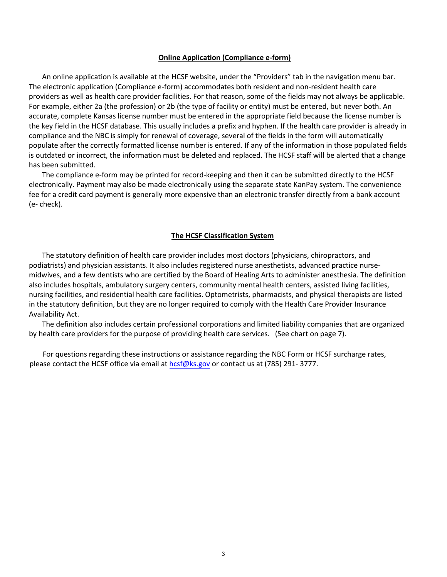#### **Online Application (Compliance e-form)**

An online application is available at the HCSF website, under the "Providers" tab in the navigation menu bar. The electronic application (Compliance e-form) accommodates both resident and non-resident health care providers as well as health care provider facilities. For that reason, some of the fields may not always be applicable. For example, either 2a (the profession) or 2b (the type of facility or entity) must be entered, but never both. An accurate, complete Kansas license number must be entered in the appropriate field because the license number is the key field in the HCSF database. This usually includes a prefix and hyphen. If the health care provider is already in compliance and the NBC is simply for renewal of coverage, several of the fields in the form will automatically populate after the correctly formatted license number is entered. If any of the information in those populated fields is outdated or incorrect, the information must be deleted and replaced. The HCSF staff will be alerted that a change has been submitted.

The compliance e-form may be printed for record-keeping and then it can be submitted directly to the HCSF electronically. Payment may also be made electronically using the separate state KanPay system. The convenience fee for a credit card payment is generally more expensive than an electronic transfer directly from a bank account (e- check).

## **The HCSF Classification System**

The statutory definition of health care provider includes most doctors (physicians, chiropractors, and podiatrists) and physician assistants. It also includes registered nurse anesthetists, advanced practice nursemidwives, and a few dentists who are certified by the Board of Healing Arts to administer anesthesia. The definition also includes hospitals, ambulatory surgery centers, community mental health centers, assisted living facilities, nursing facilities, and residential health care facilities. Optometrists, pharmacists, and physical therapists are listed in the statutory definition, but they are no longer required to comply with the Health Care Provider Insurance Availability Act.

The definition also includes certain professional corporations and limited liability companies that are organized by health care providers for the purpose of providing health care services. (See chart on page 7).

For questions regarding these instructions or assistance regarding the NBC Form or HCSF surcharge rates, please contact the HCSF office via email at [hcsf@ks.gov](mailto:hcsf@ks.gov) or contact us at (785) 291- 3777.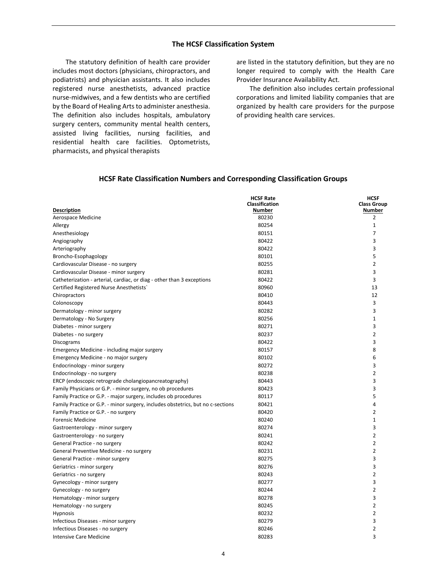### **The HCSF Classification System**

The statutory definition of health care provider includes most doctors (physicians, chiropractors, and podiatrists) and physician assistants. It also includes registered nurse anesthetists, advanced practice nurse-midwives, and a few dentists who are certified by the Board of Healing Arts to administer anesthesia. The definition also includes hospitals, ambulatory surgery centers, community mental health centers, assisted living facilities, nursing facilities, and residential health care facilities. Optometrists, pharmacists, and physical therapists

are listed in the statutory definition, but they are no longer required to comply with the Health Care Provider Insurance Availability Act.

The definition also includes certain professional corporations and limited liability companies that are organized by health care providers for the purpose of providing health care services.

| <b>Description</b>                                                              | <b>HCSF Rate</b><br><b>Classification</b><br>Number | <b>HCSF</b><br><b>Class Group</b><br>Number |
|---------------------------------------------------------------------------------|-----------------------------------------------------|---------------------------------------------|
| Aerospace Medicine                                                              | 80230                                               | 2                                           |
| Allergy                                                                         | 80254                                               | $\mathbf{1}$                                |
| Anesthesiology                                                                  | 80151                                               | 7                                           |
| Angiography                                                                     | 80422                                               | 3                                           |
| Arteriography                                                                   | 80422                                               | 3                                           |
| Broncho-Esophagology                                                            | 80101                                               | 5                                           |
| Cardiovascular Disease - no surgery                                             | 80255                                               | $\overline{2}$                              |
| Cardiovascular Disease - minor surgery                                          | 80281                                               | 3                                           |
| Catheterization - arterial, cardiac, or diag - other than 3 exceptions          | 80422                                               | 3                                           |
| Certified Registered Nurse Anesthetists`                                        | 80960                                               | 13                                          |
| Chiropractors                                                                   | 80410                                               | 12                                          |
| Colonoscopy                                                                     | 80443                                               | 3                                           |
| Dermatology - minor surgery                                                     | 80282                                               | 3                                           |
| Dermatology - No Surgery                                                        | 80256                                               | $\mathbf{1}$                                |
| Diabetes - minor surgery                                                        | 80271                                               | 3                                           |
| Diabetes - no surgery                                                           | 80237                                               | $\overline{2}$                              |
| Discograms                                                                      | 80422                                               | 3                                           |
| Emergency Medicine - including major surgery                                    | 80157                                               | 8                                           |
| Emergency Medicine - no major surgery                                           | 80102                                               | 6                                           |
| Endocrinology - minor surgery                                                   | 80272                                               | 3                                           |
| Endocrinology - no surgery                                                      | 80238                                               | $\overline{2}$                              |
| ERCP (endoscopic retrograde cholangiopancreatography)                           | 80443                                               | 3                                           |
| Family Physicians or G.P. - minor surgery, no ob procedures                     | 80423                                               | 3                                           |
| Family Practice or G.P. - major surgery, includes ob procedures                 | 80117                                               | 5                                           |
| Family Practice or G.P. - minor surgery, includes obstetrics, but no c-sections | 80421                                               | 4                                           |
| Family Practice or G.P. - no surgery                                            | 80420                                               | $\overline{2}$                              |
| <b>Forensic Medicine</b>                                                        | 80240                                               | $\mathbf{1}$                                |
| Gastroenterology - minor surgery                                                | 80274                                               | 3                                           |
| Gastroenterology - no surgery                                                   | 80241                                               | $\overline{2}$                              |
| General Practice - no surgery                                                   | 80242                                               | $\overline{2}$                              |
| General Preventive Medicine - no surgery                                        | 80231                                               | $\overline{2}$                              |
| General Practice - minor surgery                                                | 80275                                               | 3                                           |
| Geriatrics - minor surgery                                                      | 80276                                               | 3                                           |
| Geriatrics - no surgery                                                         | 80243                                               | $\overline{2}$                              |
| Gynecology - minor surgery                                                      | 80277                                               | 3                                           |
| Gynecology - no surgery                                                         | 80244                                               | $\overline{2}$                              |
| Hematology - minor surgery                                                      | 80278                                               | 3                                           |
| Hematology - no surgery                                                         | 80245                                               | $\overline{2}$                              |
| <b>Hypnosis</b>                                                                 | 80232                                               | $\overline{2}$                              |
| Infectious Diseases - minor surgery                                             | 80279                                               | 3                                           |
| Infectious Diseases - no surgery                                                | 80246                                               | $\overline{2}$                              |
| <b>Intensive Care Medicine</b>                                                  | 80283                                               | 3                                           |

#### **HCSF Rate Classification Numbers and Corresponding Classification Groups**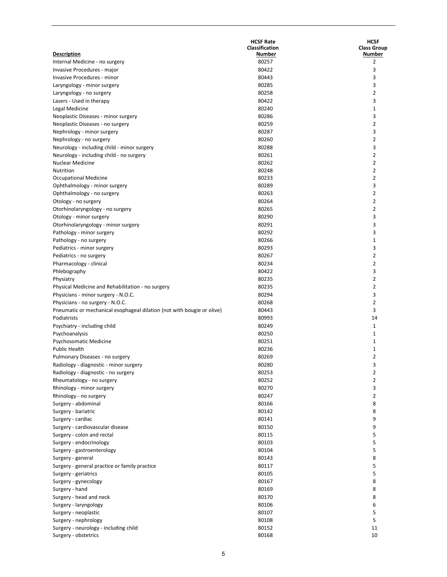| <b>Description</b><br>Number<br>Number<br>Internal Medicine - no surgery<br>80257<br>2<br>80422<br>3<br>Invasive Procedures - major<br>80443<br>3<br>Invasive Procedures - minor<br>80285<br>3<br>Laryngology - minor surgery<br>$\overline{2}$<br>80258<br>Laryngology - no surgery<br>80422<br>3<br>Lasers - Used in therapy<br>80240<br>1<br>Legal Medicine<br>3<br>80286<br>Neoplastic Diseases - minor surgery<br>$\overline{2}$<br>80259<br>Neoplastic Diseases - no surgery<br>80287<br>3<br>Nephrology - minor surgery<br>80260<br>$\overline{2}$<br>Nephrology - no surgery<br>80288<br>3<br>Neurology - including child - minor surgery<br>$\overline{2}$<br>80261<br>Neurology - including child - no surgery<br>$\overline{2}$<br><b>Nuclear Medicine</b><br>80262<br>80248<br>$\overline{2}$<br><b>Nutrition</b><br>80233<br>$\overline{2}$<br>Occupational Medicine<br>3<br>80289<br>Ophthalmology - minor surgery<br>$\overline{2}$<br>80263<br>Ophthalmology - no surgery<br>80264<br>$\overline{2}$<br>Otology - no surgery<br>$\overline{2}$<br>80265<br>Otorhinolaryngology - no surgery<br>80290<br>3<br>Otology - minor surgery<br>3<br>80291<br>Otorhinolaryngology - minor surgery<br>80292<br>3<br>Pathology - minor surgery<br>80266<br>1<br>Pathology - no surgery<br>80293<br>3<br>Pediatrics - minor surgery<br>$\overline{2}$<br>80267<br>Pediatrics - no surgery<br>$\overline{2}$<br>80234<br>Pharmacology - clinical<br>80422<br>3<br>Phlebography<br>$\overline{2}$<br>80235<br>Physiatry<br>$\overline{2}$<br>80235<br>Physical Medicine and Rehabilitation - no surgery<br>3<br>80294<br>Physicians - minor surgery - N.O.C.<br>80268<br>$\overline{2}$<br>Physicians - no surgery - N.O.C.<br>80443<br>3<br>Pneumatic or mechanical esophageal dilation (not with bougie or olive)<br>80993<br>14<br>Podiatrists<br>80249<br>1<br>Psychiatry - including child<br>80250<br>1<br>Psychoanalysis<br>80251<br>Psychosomatic Medicine<br>1<br>80236<br><b>Public Health</b><br>1<br>2<br>80269<br>Pulmonary Diseases - no surgery<br>80280<br>Radiology - diagnostic - minor surgery<br>3<br>80253<br>2<br>Radiology - diagnostic - no surgery<br>80252<br>$\overline{2}$<br>Rheumatology - no surgery<br>80270<br>3<br>Rhinology - minor surgery<br>80247<br>$\overline{2}$<br>Rhinology - no surgery<br>8<br>80166<br>Surgery - abdominal<br>80142<br>8<br>Surgery - bariatric<br>80141<br>9<br>Surgery - cardiac<br>80150<br>9<br>Surgery - cardiovascular disease<br>5<br>80115<br>Surgery - colon and rectal<br>80103<br>5<br>Surgery - endocrinology<br>80104<br>5<br>Surgery - gastroenterology<br>80143<br>8<br>Surgery - general<br>5<br>80117<br>Surgery - general practice or family practice<br>5<br>80105<br>Surgery - geriatrics<br>8<br>80167<br>Surgery - gynecology<br>80169<br>8<br>Surgery - hand<br>80170<br>8<br>Surgery - head and neck<br>80106<br>6<br>Surgery - laryngology<br>80107<br>5<br>Surgery - neoplastic<br>5<br>80108<br>Surgery - nephrology<br>80152<br>11<br>Surgery - neurology - including child<br>80168<br>10<br>Surgery - obstetrics | <b>HCSF Rate</b><br>Classification | <b>HCSF</b><br><b>Class Group</b> |
|-----------------------------------------------------------------------------------------------------------------------------------------------------------------------------------------------------------------------------------------------------------------------------------------------------------------------------------------------------------------------------------------------------------------------------------------------------------------------------------------------------------------------------------------------------------------------------------------------------------------------------------------------------------------------------------------------------------------------------------------------------------------------------------------------------------------------------------------------------------------------------------------------------------------------------------------------------------------------------------------------------------------------------------------------------------------------------------------------------------------------------------------------------------------------------------------------------------------------------------------------------------------------------------------------------------------------------------------------------------------------------------------------------------------------------------------------------------------------------------------------------------------------------------------------------------------------------------------------------------------------------------------------------------------------------------------------------------------------------------------------------------------------------------------------------------------------------------------------------------------------------------------------------------------------------------------------------------------------------------------------------------------------------------------------------------------------------------------------------------------------------------------------------------------------------------------------------------------------------------------------------------------------------------------------------------------------------------------------------------------------------------------------------------------------------------------------------------------------------------------------------------------------------------------------------------------------------------------------------------------------------------------------------------------------------------------------------------------------------------------------------------------------------------------------------------------------------------------------------------------------------------------------------------------------------------------------------------------------------------------------------------------------------------------------------------------------------------------------------------------|------------------------------------|-----------------------------------|
|                                                                                                                                                                                                                                                                                                                                                                                                                                                                                                                                                                                                                                                                                                                                                                                                                                                                                                                                                                                                                                                                                                                                                                                                                                                                                                                                                                                                                                                                                                                                                                                                                                                                                                                                                                                                                                                                                                                                                                                                                                                                                                                                                                                                                                                                                                                                                                                                                                                                                                                                                                                                                                                                                                                                                                                                                                                                                                                                                                                                                                                                                                                 |                                    |                                   |
|                                                                                                                                                                                                                                                                                                                                                                                                                                                                                                                                                                                                                                                                                                                                                                                                                                                                                                                                                                                                                                                                                                                                                                                                                                                                                                                                                                                                                                                                                                                                                                                                                                                                                                                                                                                                                                                                                                                                                                                                                                                                                                                                                                                                                                                                                                                                                                                                                                                                                                                                                                                                                                                                                                                                                                                                                                                                                                                                                                                                                                                                                                                 |                                    |                                   |
|                                                                                                                                                                                                                                                                                                                                                                                                                                                                                                                                                                                                                                                                                                                                                                                                                                                                                                                                                                                                                                                                                                                                                                                                                                                                                                                                                                                                                                                                                                                                                                                                                                                                                                                                                                                                                                                                                                                                                                                                                                                                                                                                                                                                                                                                                                                                                                                                                                                                                                                                                                                                                                                                                                                                                                                                                                                                                                                                                                                                                                                                                                                 |                                    |                                   |
|                                                                                                                                                                                                                                                                                                                                                                                                                                                                                                                                                                                                                                                                                                                                                                                                                                                                                                                                                                                                                                                                                                                                                                                                                                                                                                                                                                                                                                                                                                                                                                                                                                                                                                                                                                                                                                                                                                                                                                                                                                                                                                                                                                                                                                                                                                                                                                                                                                                                                                                                                                                                                                                                                                                                                                                                                                                                                                                                                                                                                                                                                                                 |                                    |                                   |
|                                                                                                                                                                                                                                                                                                                                                                                                                                                                                                                                                                                                                                                                                                                                                                                                                                                                                                                                                                                                                                                                                                                                                                                                                                                                                                                                                                                                                                                                                                                                                                                                                                                                                                                                                                                                                                                                                                                                                                                                                                                                                                                                                                                                                                                                                                                                                                                                                                                                                                                                                                                                                                                                                                                                                                                                                                                                                                                                                                                                                                                                                                                 |                                    |                                   |
|                                                                                                                                                                                                                                                                                                                                                                                                                                                                                                                                                                                                                                                                                                                                                                                                                                                                                                                                                                                                                                                                                                                                                                                                                                                                                                                                                                                                                                                                                                                                                                                                                                                                                                                                                                                                                                                                                                                                                                                                                                                                                                                                                                                                                                                                                                                                                                                                                                                                                                                                                                                                                                                                                                                                                                                                                                                                                                                                                                                                                                                                                                                 |                                    |                                   |
|                                                                                                                                                                                                                                                                                                                                                                                                                                                                                                                                                                                                                                                                                                                                                                                                                                                                                                                                                                                                                                                                                                                                                                                                                                                                                                                                                                                                                                                                                                                                                                                                                                                                                                                                                                                                                                                                                                                                                                                                                                                                                                                                                                                                                                                                                                                                                                                                                                                                                                                                                                                                                                                                                                                                                                                                                                                                                                                                                                                                                                                                                                                 |                                    |                                   |
|                                                                                                                                                                                                                                                                                                                                                                                                                                                                                                                                                                                                                                                                                                                                                                                                                                                                                                                                                                                                                                                                                                                                                                                                                                                                                                                                                                                                                                                                                                                                                                                                                                                                                                                                                                                                                                                                                                                                                                                                                                                                                                                                                                                                                                                                                                                                                                                                                                                                                                                                                                                                                                                                                                                                                                                                                                                                                                                                                                                                                                                                                                                 |                                    |                                   |
|                                                                                                                                                                                                                                                                                                                                                                                                                                                                                                                                                                                                                                                                                                                                                                                                                                                                                                                                                                                                                                                                                                                                                                                                                                                                                                                                                                                                                                                                                                                                                                                                                                                                                                                                                                                                                                                                                                                                                                                                                                                                                                                                                                                                                                                                                                                                                                                                                                                                                                                                                                                                                                                                                                                                                                                                                                                                                                                                                                                                                                                                                                                 |                                    |                                   |
|                                                                                                                                                                                                                                                                                                                                                                                                                                                                                                                                                                                                                                                                                                                                                                                                                                                                                                                                                                                                                                                                                                                                                                                                                                                                                                                                                                                                                                                                                                                                                                                                                                                                                                                                                                                                                                                                                                                                                                                                                                                                                                                                                                                                                                                                                                                                                                                                                                                                                                                                                                                                                                                                                                                                                                                                                                                                                                                                                                                                                                                                                                                 |                                    |                                   |
|                                                                                                                                                                                                                                                                                                                                                                                                                                                                                                                                                                                                                                                                                                                                                                                                                                                                                                                                                                                                                                                                                                                                                                                                                                                                                                                                                                                                                                                                                                                                                                                                                                                                                                                                                                                                                                                                                                                                                                                                                                                                                                                                                                                                                                                                                                                                                                                                                                                                                                                                                                                                                                                                                                                                                                                                                                                                                                                                                                                                                                                                                                                 |                                    |                                   |
|                                                                                                                                                                                                                                                                                                                                                                                                                                                                                                                                                                                                                                                                                                                                                                                                                                                                                                                                                                                                                                                                                                                                                                                                                                                                                                                                                                                                                                                                                                                                                                                                                                                                                                                                                                                                                                                                                                                                                                                                                                                                                                                                                                                                                                                                                                                                                                                                                                                                                                                                                                                                                                                                                                                                                                                                                                                                                                                                                                                                                                                                                                                 |                                    |                                   |
|                                                                                                                                                                                                                                                                                                                                                                                                                                                                                                                                                                                                                                                                                                                                                                                                                                                                                                                                                                                                                                                                                                                                                                                                                                                                                                                                                                                                                                                                                                                                                                                                                                                                                                                                                                                                                                                                                                                                                                                                                                                                                                                                                                                                                                                                                                                                                                                                                                                                                                                                                                                                                                                                                                                                                                                                                                                                                                                                                                                                                                                                                                                 |                                    |                                   |
|                                                                                                                                                                                                                                                                                                                                                                                                                                                                                                                                                                                                                                                                                                                                                                                                                                                                                                                                                                                                                                                                                                                                                                                                                                                                                                                                                                                                                                                                                                                                                                                                                                                                                                                                                                                                                                                                                                                                                                                                                                                                                                                                                                                                                                                                                                                                                                                                                                                                                                                                                                                                                                                                                                                                                                                                                                                                                                                                                                                                                                                                                                                 |                                    |                                   |
|                                                                                                                                                                                                                                                                                                                                                                                                                                                                                                                                                                                                                                                                                                                                                                                                                                                                                                                                                                                                                                                                                                                                                                                                                                                                                                                                                                                                                                                                                                                                                                                                                                                                                                                                                                                                                                                                                                                                                                                                                                                                                                                                                                                                                                                                                                                                                                                                                                                                                                                                                                                                                                                                                                                                                                                                                                                                                                                                                                                                                                                                                                                 |                                    |                                   |
|                                                                                                                                                                                                                                                                                                                                                                                                                                                                                                                                                                                                                                                                                                                                                                                                                                                                                                                                                                                                                                                                                                                                                                                                                                                                                                                                                                                                                                                                                                                                                                                                                                                                                                                                                                                                                                                                                                                                                                                                                                                                                                                                                                                                                                                                                                                                                                                                                                                                                                                                                                                                                                                                                                                                                                                                                                                                                                                                                                                                                                                                                                                 |                                    |                                   |
|                                                                                                                                                                                                                                                                                                                                                                                                                                                                                                                                                                                                                                                                                                                                                                                                                                                                                                                                                                                                                                                                                                                                                                                                                                                                                                                                                                                                                                                                                                                                                                                                                                                                                                                                                                                                                                                                                                                                                                                                                                                                                                                                                                                                                                                                                                                                                                                                                                                                                                                                                                                                                                                                                                                                                                                                                                                                                                                                                                                                                                                                                                                 |                                    |                                   |
|                                                                                                                                                                                                                                                                                                                                                                                                                                                                                                                                                                                                                                                                                                                                                                                                                                                                                                                                                                                                                                                                                                                                                                                                                                                                                                                                                                                                                                                                                                                                                                                                                                                                                                                                                                                                                                                                                                                                                                                                                                                                                                                                                                                                                                                                                                                                                                                                                                                                                                                                                                                                                                                                                                                                                                                                                                                                                                                                                                                                                                                                                                                 |                                    |                                   |
|                                                                                                                                                                                                                                                                                                                                                                                                                                                                                                                                                                                                                                                                                                                                                                                                                                                                                                                                                                                                                                                                                                                                                                                                                                                                                                                                                                                                                                                                                                                                                                                                                                                                                                                                                                                                                                                                                                                                                                                                                                                                                                                                                                                                                                                                                                                                                                                                                                                                                                                                                                                                                                                                                                                                                                                                                                                                                                                                                                                                                                                                                                                 |                                    |                                   |
|                                                                                                                                                                                                                                                                                                                                                                                                                                                                                                                                                                                                                                                                                                                                                                                                                                                                                                                                                                                                                                                                                                                                                                                                                                                                                                                                                                                                                                                                                                                                                                                                                                                                                                                                                                                                                                                                                                                                                                                                                                                                                                                                                                                                                                                                                                                                                                                                                                                                                                                                                                                                                                                                                                                                                                                                                                                                                                                                                                                                                                                                                                                 |                                    |                                   |
|                                                                                                                                                                                                                                                                                                                                                                                                                                                                                                                                                                                                                                                                                                                                                                                                                                                                                                                                                                                                                                                                                                                                                                                                                                                                                                                                                                                                                                                                                                                                                                                                                                                                                                                                                                                                                                                                                                                                                                                                                                                                                                                                                                                                                                                                                                                                                                                                                                                                                                                                                                                                                                                                                                                                                                                                                                                                                                                                                                                                                                                                                                                 |                                    |                                   |
|                                                                                                                                                                                                                                                                                                                                                                                                                                                                                                                                                                                                                                                                                                                                                                                                                                                                                                                                                                                                                                                                                                                                                                                                                                                                                                                                                                                                                                                                                                                                                                                                                                                                                                                                                                                                                                                                                                                                                                                                                                                                                                                                                                                                                                                                                                                                                                                                                                                                                                                                                                                                                                                                                                                                                                                                                                                                                                                                                                                                                                                                                                                 |                                    |                                   |
|                                                                                                                                                                                                                                                                                                                                                                                                                                                                                                                                                                                                                                                                                                                                                                                                                                                                                                                                                                                                                                                                                                                                                                                                                                                                                                                                                                                                                                                                                                                                                                                                                                                                                                                                                                                                                                                                                                                                                                                                                                                                                                                                                                                                                                                                                                                                                                                                                                                                                                                                                                                                                                                                                                                                                                                                                                                                                                                                                                                                                                                                                                                 |                                    |                                   |
|                                                                                                                                                                                                                                                                                                                                                                                                                                                                                                                                                                                                                                                                                                                                                                                                                                                                                                                                                                                                                                                                                                                                                                                                                                                                                                                                                                                                                                                                                                                                                                                                                                                                                                                                                                                                                                                                                                                                                                                                                                                                                                                                                                                                                                                                                                                                                                                                                                                                                                                                                                                                                                                                                                                                                                                                                                                                                                                                                                                                                                                                                                                 |                                    |                                   |
|                                                                                                                                                                                                                                                                                                                                                                                                                                                                                                                                                                                                                                                                                                                                                                                                                                                                                                                                                                                                                                                                                                                                                                                                                                                                                                                                                                                                                                                                                                                                                                                                                                                                                                                                                                                                                                                                                                                                                                                                                                                                                                                                                                                                                                                                                                                                                                                                                                                                                                                                                                                                                                                                                                                                                                                                                                                                                                                                                                                                                                                                                                                 |                                    |                                   |
|                                                                                                                                                                                                                                                                                                                                                                                                                                                                                                                                                                                                                                                                                                                                                                                                                                                                                                                                                                                                                                                                                                                                                                                                                                                                                                                                                                                                                                                                                                                                                                                                                                                                                                                                                                                                                                                                                                                                                                                                                                                                                                                                                                                                                                                                                                                                                                                                                                                                                                                                                                                                                                                                                                                                                                                                                                                                                                                                                                                                                                                                                                                 |                                    |                                   |
|                                                                                                                                                                                                                                                                                                                                                                                                                                                                                                                                                                                                                                                                                                                                                                                                                                                                                                                                                                                                                                                                                                                                                                                                                                                                                                                                                                                                                                                                                                                                                                                                                                                                                                                                                                                                                                                                                                                                                                                                                                                                                                                                                                                                                                                                                                                                                                                                                                                                                                                                                                                                                                                                                                                                                                                                                                                                                                                                                                                                                                                                                                                 |                                    |                                   |
|                                                                                                                                                                                                                                                                                                                                                                                                                                                                                                                                                                                                                                                                                                                                                                                                                                                                                                                                                                                                                                                                                                                                                                                                                                                                                                                                                                                                                                                                                                                                                                                                                                                                                                                                                                                                                                                                                                                                                                                                                                                                                                                                                                                                                                                                                                                                                                                                                                                                                                                                                                                                                                                                                                                                                                                                                                                                                                                                                                                                                                                                                                                 |                                    |                                   |
|                                                                                                                                                                                                                                                                                                                                                                                                                                                                                                                                                                                                                                                                                                                                                                                                                                                                                                                                                                                                                                                                                                                                                                                                                                                                                                                                                                                                                                                                                                                                                                                                                                                                                                                                                                                                                                                                                                                                                                                                                                                                                                                                                                                                                                                                                                                                                                                                                                                                                                                                                                                                                                                                                                                                                                                                                                                                                                                                                                                                                                                                                                                 |                                    |                                   |
|                                                                                                                                                                                                                                                                                                                                                                                                                                                                                                                                                                                                                                                                                                                                                                                                                                                                                                                                                                                                                                                                                                                                                                                                                                                                                                                                                                                                                                                                                                                                                                                                                                                                                                                                                                                                                                                                                                                                                                                                                                                                                                                                                                                                                                                                                                                                                                                                                                                                                                                                                                                                                                                                                                                                                                                                                                                                                                                                                                                                                                                                                                                 |                                    |                                   |
|                                                                                                                                                                                                                                                                                                                                                                                                                                                                                                                                                                                                                                                                                                                                                                                                                                                                                                                                                                                                                                                                                                                                                                                                                                                                                                                                                                                                                                                                                                                                                                                                                                                                                                                                                                                                                                                                                                                                                                                                                                                                                                                                                                                                                                                                                                                                                                                                                                                                                                                                                                                                                                                                                                                                                                                                                                                                                                                                                                                                                                                                                                                 |                                    |                                   |
|                                                                                                                                                                                                                                                                                                                                                                                                                                                                                                                                                                                                                                                                                                                                                                                                                                                                                                                                                                                                                                                                                                                                                                                                                                                                                                                                                                                                                                                                                                                                                                                                                                                                                                                                                                                                                                                                                                                                                                                                                                                                                                                                                                                                                                                                                                                                                                                                                                                                                                                                                                                                                                                                                                                                                                                                                                                                                                                                                                                                                                                                                                                 |                                    |                                   |
|                                                                                                                                                                                                                                                                                                                                                                                                                                                                                                                                                                                                                                                                                                                                                                                                                                                                                                                                                                                                                                                                                                                                                                                                                                                                                                                                                                                                                                                                                                                                                                                                                                                                                                                                                                                                                                                                                                                                                                                                                                                                                                                                                                                                                                                                                                                                                                                                                                                                                                                                                                                                                                                                                                                                                                                                                                                                                                                                                                                                                                                                                                                 |                                    |                                   |
|                                                                                                                                                                                                                                                                                                                                                                                                                                                                                                                                                                                                                                                                                                                                                                                                                                                                                                                                                                                                                                                                                                                                                                                                                                                                                                                                                                                                                                                                                                                                                                                                                                                                                                                                                                                                                                                                                                                                                                                                                                                                                                                                                                                                                                                                                                                                                                                                                                                                                                                                                                                                                                                                                                                                                                                                                                                                                                                                                                                                                                                                                                                 |                                    |                                   |
|                                                                                                                                                                                                                                                                                                                                                                                                                                                                                                                                                                                                                                                                                                                                                                                                                                                                                                                                                                                                                                                                                                                                                                                                                                                                                                                                                                                                                                                                                                                                                                                                                                                                                                                                                                                                                                                                                                                                                                                                                                                                                                                                                                                                                                                                                                                                                                                                                                                                                                                                                                                                                                                                                                                                                                                                                                                                                                                                                                                                                                                                                                                 |                                    |                                   |
|                                                                                                                                                                                                                                                                                                                                                                                                                                                                                                                                                                                                                                                                                                                                                                                                                                                                                                                                                                                                                                                                                                                                                                                                                                                                                                                                                                                                                                                                                                                                                                                                                                                                                                                                                                                                                                                                                                                                                                                                                                                                                                                                                                                                                                                                                                                                                                                                                                                                                                                                                                                                                                                                                                                                                                                                                                                                                                                                                                                                                                                                                                                 |                                    |                                   |
|                                                                                                                                                                                                                                                                                                                                                                                                                                                                                                                                                                                                                                                                                                                                                                                                                                                                                                                                                                                                                                                                                                                                                                                                                                                                                                                                                                                                                                                                                                                                                                                                                                                                                                                                                                                                                                                                                                                                                                                                                                                                                                                                                                                                                                                                                                                                                                                                                                                                                                                                                                                                                                                                                                                                                                                                                                                                                                                                                                                                                                                                                                                 |                                    |                                   |
|                                                                                                                                                                                                                                                                                                                                                                                                                                                                                                                                                                                                                                                                                                                                                                                                                                                                                                                                                                                                                                                                                                                                                                                                                                                                                                                                                                                                                                                                                                                                                                                                                                                                                                                                                                                                                                                                                                                                                                                                                                                                                                                                                                                                                                                                                                                                                                                                                                                                                                                                                                                                                                                                                                                                                                                                                                                                                                                                                                                                                                                                                                                 |                                    |                                   |
|                                                                                                                                                                                                                                                                                                                                                                                                                                                                                                                                                                                                                                                                                                                                                                                                                                                                                                                                                                                                                                                                                                                                                                                                                                                                                                                                                                                                                                                                                                                                                                                                                                                                                                                                                                                                                                                                                                                                                                                                                                                                                                                                                                                                                                                                                                                                                                                                                                                                                                                                                                                                                                                                                                                                                                                                                                                                                                                                                                                                                                                                                                                 |                                    |                                   |
|                                                                                                                                                                                                                                                                                                                                                                                                                                                                                                                                                                                                                                                                                                                                                                                                                                                                                                                                                                                                                                                                                                                                                                                                                                                                                                                                                                                                                                                                                                                                                                                                                                                                                                                                                                                                                                                                                                                                                                                                                                                                                                                                                                                                                                                                                                                                                                                                                                                                                                                                                                                                                                                                                                                                                                                                                                                                                                                                                                                                                                                                                                                 |                                    |                                   |
|                                                                                                                                                                                                                                                                                                                                                                                                                                                                                                                                                                                                                                                                                                                                                                                                                                                                                                                                                                                                                                                                                                                                                                                                                                                                                                                                                                                                                                                                                                                                                                                                                                                                                                                                                                                                                                                                                                                                                                                                                                                                                                                                                                                                                                                                                                                                                                                                                                                                                                                                                                                                                                                                                                                                                                                                                                                                                                                                                                                                                                                                                                                 |                                    |                                   |
|                                                                                                                                                                                                                                                                                                                                                                                                                                                                                                                                                                                                                                                                                                                                                                                                                                                                                                                                                                                                                                                                                                                                                                                                                                                                                                                                                                                                                                                                                                                                                                                                                                                                                                                                                                                                                                                                                                                                                                                                                                                                                                                                                                                                                                                                                                                                                                                                                                                                                                                                                                                                                                                                                                                                                                                                                                                                                                                                                                                                                                                                                                                 |                                    |                                   |
|                                                                                                                                                                                                                                                                                                                                                                                                                                                                                                                                                                                                                                                                                                                                                                                                                                                                                                                                                                                                                                                                                                                                                                                                                                                                                                                                                                                                                                                                                                                                                                                                                                                                                                                                                                                                                                                                                                                                                                                                                                                                                                                                                                                                                                                                                                                                                                                                                                                                                                                                                                                                                                                                                                                                                                                                                                                                                                                                                                                                                                                                                                                 |                                    |                                   |
|                                                                                                                                                                                                                                                                                                                                                                                                                                                                                                                                                                                                                                                                                                                                                                                                                                                                                                                                                                                                                                                                                                                                                                                                                                                                                                                                                                                                                                                                                                                                                                                                                                                                                                                                                                                                                                                                                                                                                                                                                                                                                                                                                                                                                                                                                                                                                                                                                                                                                                                                                                                                                                                                                                                                                                                                                                                                                                                                                                                                                                                                                                                 |                                    |                                   |
|                                                                                                                                                                                                                                                                                                                                                                                                                                                                                                                                                                                                                                                                                                                                                                                                                                                                                                                                                                                                                                                                                                                                                                                                                                                                                                                                                                                                                                                                                                                                                                                                                                                                                                                                                                                                                                                                                                                                                                                                                                                                                                                                                                                                                                                                                                                                                                                                                                                                                                                                                                                                                                                                                                                                                                                                                                                                                                                                                                                                                                                                                                                 |                                    |                                   |
|                                                                                                                                                                                                                                                                                                                                                                                                                                                                                                                                                                                                                                                                                                                                                                                                                                                                                                                                                                                                                                                                                                                                                                                                                                                                                                                                                                                                                                                                                                                                                                                                                                                                                                                                                                                                                                                                                                                                                                                                                                                                                                                                                                                                                                                                                                                                                                                                                                                                                                                                                                                                                                                                                                                                                                                                                                                                                                                                                                                                                                                                                                                 |                                    |                                   |
|                                                                                                                                                                                                                                                                                                                                                                                                                                                                                                                                                                                                                                                                                                                                                                                                                                                                                                                                                                                                                                                                                                                                                                                                                                                                                                                                                                                                                                                                                                                                                                                                                                                                                                                                                                                                                                                                                                                                                                                                                                                                                                                                                                                                                                                                                                                                                                                                                                                                                                                                                                                                                                                                                                                                                                                                                                                                                                                                                                                                                                                                                                                 |                                    |                                   |
|                                                                                                                                                                                                                                                                                                                                                                                                                                                                                                                                                                                                                                                                                                                                                                                                                                                                                                                                                                                                                                                                                                                                                                                                                                                                                                                                                                                                                                                                                                                                                                                                                                                                                                                                                                                                                                                                                                                                                                                                                                                                                                                                                                                                                                                                                                                                                                                                                                                                                                                                                                                                                                                                                                                                                                                                                                                                                                                                                                                                                                                                                                                 |                                    |                                   |
|                                                                                                                                                                                                                                                                                                                                                                                                                                                                                                                                                                                                                                                                                                                                                                                                                                                                                                                                                                                                                                                                                                                                                                                                                                                                                                                                                                                                                                                                                                                                                                                                                                                                                                                                                                                                                                                                                                                                                                                                                                                                                                                                                                                                                                                                                                                                                                                                                                                                                                                                                                                                                                                                                                                                                                                                                                                                                                                                                                                                                                                                                                                 |                                    |                                   |
|                                                                                                                                                                                                                                                                                                                                                                                                                                                                                                                                                                                                                                                                                                                                                                                                                                                                                                                                                                                                                                                                                                                                                                                                                                                                                                                                                                                                                                                                                                                                                                                                                                                                                                                                                                                                                                                                                                                                                                                                                                                                                                                                                                                                                                                                                                                                                                                                                                                                                                                                                                                                                                                                                                                                                                                                                                                                                                                                                                                                                                                                                                                 |                                    |                                   |
|                                                                                                                                                                                                                                                                                                                                                                                                                                                                                                                                                                                                                                                                                                                                                                                                                                                                                                                                                                                                                                                                                                                                                                                                                                                                                                                                                                                                                                                                                                                                                                                                                                                                                                                                                                                                                                                                                                                                                                                                                                                                                                                                                                                                                                                                                                                                                                                                                                                                                                                                                                                                                                                                                                                                                                                                                                                                                                                                                                                                                                                                                                                 |                                    |                                   |
|                                                                                                                                                                                                                                                                                                                                                                                                                                                                                                                                                                                                                                                                                                                                                                                                                                                                                                                                                                                                                                                                                                                                                                                                                                                                                                                                                                                                                                                                                                                                                                                                                                                                                                                                                                                                                                                                                                                                                                                                                                                                                                                                                                                                                                                                                                                                                                                                                                                                                                                                                                                                                                                                                                                                                                                                                                                                                                                                                                                                                                                                                                                 |                                    |                                   |
|                                                                                                                                                                                                                                                                                                                                                                                                                                                                                                                                                                                                                                                                                                                                                                                                                                                                                                                                                                                                                                                                                                                                                                                                                                                                                                                                                                                                                                                                                                                                                                                                                                                                                                                                                                                                                                                                                                                                                                                                                                                                                                                                                                                                                                                                                                                                                                                                                                                                                                                                                                                                                                                                                                                                                                                                                                                                                                                                                                                                                                                                                                                 |                                    |                                   |
|                                                                                                                                                                                                                                                                                                                                                                                                                                                                                                                                                                                                                                                                                                                                                                                                                                                                                                                                                                                                                                                                                                                                                                                                                                                                                                                                                                                                                                                                                                                                                                                                                                                                                                                                                                                                                                                                                                                                                                                                                                                                                                                                                                                                                                                                                                                                                                                                                                                                                                                                                                                                                                                                                                                                                                                                                                                                                                                                                                                                                                                                                                                 |                                    |                                   |
|                                                                                                                                                                                                                                                                                                                                                                                                                                                                                                                                                                                                                                                                                                                                                                                                                                                                                                                                                                                                                                                                                                                                                                                                                                                                                                                                                                                                                                                                                                                                                                                                                                                                                                                                                                                                                                                                                                                                                                                                                                                                                                                                                                                                                                                                                                                                                                                                                                                                                                                                                                                                                                                                                                                                                                                                                                                                                                                                                                                                                                                                                                                 |                                    |                                   |
|                                                                                                                                                                                                                                                                                                                                                                                                                                                                                                                                                                                                                                                                                                                                                                                                                                                                                                                                                                                                                                                                                                                                                                                                                                                                                                                                                                                                                                                                                                                                                                                                                                                                                                                                                                                                                                                                                                                                                                                                                                                                                                                                                                                                                                                                                                                                                                                                                                                                                                                                                                                                                                                                                                                                                                                                                                                                                                                                                                                                                                                                                                                 |                                    |                                   |
|                                                                                                                                                                                                                                                                                                                                                                                                                                                                                                                                                                                                                                                                                                                                                                                                                                                                                                                                                                                                                                                                                                                                                                                                                                                                                                                                                                                                                                                                                                                                                                                                                                                                                                                                                                                                                                                                                                                                                                                                                                                                                                                                                                                                                                                                                                                                                                                                                                                                                                                                                                                                                                                                                                                                                                                                                                                                                                                                                                                                                                                                                                                 |                                    |                                   |
|                                                                                                                                                                                                                                                                                                                                                                                                                                                                                                                                                                                                                                                                                                                                                                                                                                                                                                                                                                                                                                                                                                                                                                                                                                                                                                                                                                                                                                                                                                                                                                                                                                                                                                                                                                                                                                                                                                                                                                                                                                                                                                                                                                                                                                                                                                                                                                                                                                                                                                                                                                                                                                                                                                                                                                                                                                                                                                                                                                                                                                                                                                                 |                                    |                                   |
|                                                                                                                                                                                                                                                                                                                                                                                                                                                                                                                                                                                                                                                                                                                                                                                                                                                                                                                                                                                                                                                                                                                                                                                                                                                                                                                                                                                                                                                                                                                                                                                                                                                                                                                                                                                                                                                                                                                                                                                                                                                                                                                                                                                                                                                                                                                                                                                                                                                                                                                                                                                                                                                                                                                                                                                                                                                                                                                                                                                                                                                                                                                 |                                    |                                   |
|                                                                                                                                                                                                                                                                                                                                                                                                                                                                                                                                                                                                                                                                                                                                                                                                                                                                                                                                                                                                                                                                                                                                                                                                                                                                                                                                                                                                                                                                                                                                                                                                                                                                                                                                                                                                                                                                                                                                                                                                                                                                                                                                                                                                                                                                                                                                                                                                                                                                                                                                                                                                                                                                                                                                                                                                                                                                                                                                                                                                                                                                                                                 |                                    |                                   |
|                                                                                                                                                                                                                                                                                                                                                                                                                                                                                                                                                                                                                                                                                                                                                                                                                                                                                                                                                                                                                                                                                                                                                                                                                                                                                                                                                                                                                                                                                                                                                                                                                                                                                                                                                                                                                                                                                                                                                                                                                                                                                                                                                                                                                                                                                                                                                                                                                                                                                                                                                                                                                                                                                                                                                                                                                                                                                                                                                                                                                                                                                                                 |                                    |                                   |
|                                                                                                                                                                                                                                                                                                                                                                                                                                                                                                                                                                                                                                                                                                                                                                                                                                                                                                                                                                                                                                                                                                                                                                                                                                                                                                                                                                                                                                                                                                                                                                                                                                                                                                                                                                                                                                                                                                                                                                                                                                                                                                                                                                                                                                                                                                                                                                                                                                                                                                                                                                                                                                                                                                                                                                                                                                                                                                                                                                                                                                                                                                                 |                                    |                                   |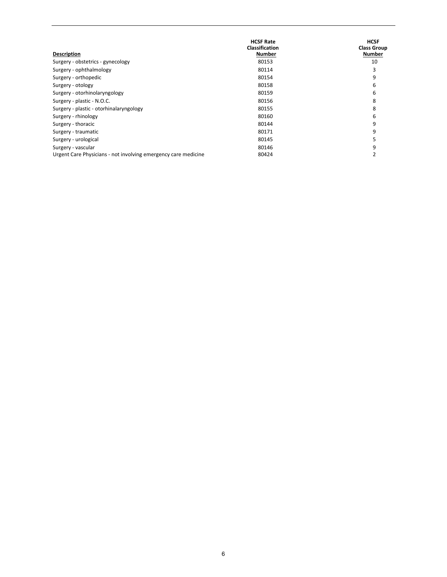| <b>Description</b>                                             | <b>HCSF Rate</b><br><b>Classification</b><br><b>Number</b> | <b>HCSF</b><br><b>Class Group</b><br>Number |
|----------------------------------------------------------------|------------------------------------------------------------|---------------------------------------------|
| Surgery - obstetrics - gynecology                              | 80153                                                      | 10                                          |
| Surgery - ophthalmology                                        | 80114                                                      |                                             |
| Surgery - orthopedic                                           | 80154                                                      | q                                           |
| Surgery - otology                                              | 80158                                                      | 6                                           |
| Surgery - otorhinolaryngology                                  | 80159                                                      | h                                           |
| Surgery - plastic - N.O.C.                                     | 80156                                                      | 8                                           |
| Surgery - plastic - otorhinalaryngology                        | 80155                                                      |                                             |
| Surgery - rhinology                                            | 80160                                                      | b                                           |
| Surgery - thoracic                                             | 80144                                                      | q                                           |
| Surgery - traumatic                                            | 80171                                                      | q                                           |
| Surgery - urological                                           | 80145                                                      |                                             |
| Surgery - vascular                                             | 80146                                                      |                                             |
| Urgent Care Physicians - not involving emergency care medicine | 80424                                                      |                                             |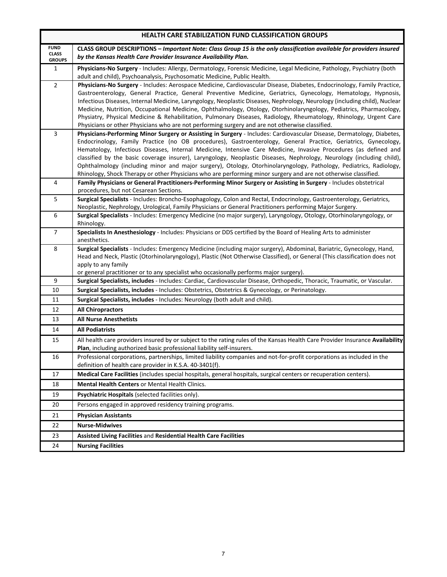| <b>HEALTH CARE STABILIZATION FUND CLASSIFICATION GROUPS</b> |                                                                                                                                                                                                                                                                                                                                                                                                                                                                                                                                                                                                                                                                                                                                |  |
|-------------------------------------------------------------|--------------------------------------------------------------------------------------------------------------------------------------------------------------------------------------------------------------------------------------------------------------------------------------------------------------------------------------------------------------------------------------------------------------------------------------------------------------------------------------------------------------------------------------------------------------------------------------------------------------------------------------------------------------------------------------------------------------------------------|--|
| <b>FUND</b><br><b>CLASS</b><br><b>GROUPS</b>                | CLASS GROUP DESCRIPTIONS - Important Note: Class Group 15 is the only classification available for providers insured<br>by the Kansas Health Care Provider Insurance Availability Plan.                                                                                                                                                                                                                                                                                                                                                                                                                                                                                                                                        |  |
| $\mathbf{1}$                                                | Physicians-No Surgery - Includes: Allergy, Dermatology, Forensic Medicine, Legal Medicine, Pathology, Psychiatry (both<br>adult and child), Psychoanalysis, Psychosomatic Medicine, Public Health.                                                                                                                                                                                                                                                                                                                                                                                                                                                                                                                             |  |
| $\overline{2}$                                              | Physicians-No Surgery - Includes: Aerospace Medicine, Cardiovascular Disease, Diabetes, Endocrinology, Family Practice,<br>Gastroenterology, General Practice, General Preventive Medicine, Geriatrics, Gynecology, Hematology, Hypnosis,<br>Infectious Diseases, Internal Medicine, Laryngology, Neoplastic Diseases, Nephrology, Neurology (including child), Nuclear<br>Medicine, Nutrition, Occupational Medicine, Ophthalmology, Otology, Otorhinolaryngology, Pediatrics, Pharmacology,<br>Physiatry, Physical Medicine & Rehabilitation, Pulmonary Diseases, Radiology, Rheumatology, Rhinology, Urgent Care<br>Physicians or other Physicians who are not performing surgery and are not otherwise classified.         |  |
| 3                                                           | Physicians-Performing Minor Surgery or Assisting in Surgery - Includes: Cardiovascular Disease, Dermatology, Diabetes,<br>Endocrinology, Family Practice (no OB procedures), Gastroenterology, General Practice, Geriatrics, Gynecology,<br>Hematology, Infectious Diseases, Internal Medicine, Intensive Care Medicine, Invasive Procedures (as defined and<br>classified by the basic coverage insurer), Laryngology, Neoplastic Diseases, Nephrology, Neurology (including child),<br>Ophthalmology (including minor and major surgery), Otology, Otorhinolaryngology, Pathology, Pediatrics, Radiology,<br>Rhinology, Shock Therapy or other Physicians who are performing minor surgery and are not otherwise classified. |  |
| $\overline{\mathbf{4}}$                                     | Family Physicians or General Practitioners-Performing Minor Surgery or Assisting in Surgery - Includes obstetrical<br>procedures, but not Cesarean Sections.                                                                                                                                                                                                                                                                                                                                                                                                                                                                                                                                                                   |  |
| 5                                                           | Surgical Specialists - Includes: Broncho-Esophagology, Colon and Rectal, Endocrinology, Gastroenterology, Geriatrics,<br>Neoplastic, Nephrology, Urological, Family Physicians or General Practitioners performing Major Surgery.                                                                                                                                                                                                                                                                                                                                                                                                                                                                                              |  |
| $\boldsymbol{6}$                                            | Surgical Specialists - Includes: Emergency Medicine (no major surgery), Laryngology, Otology, Otorhinolaryngology, or<br>Rhinology.                                                                                                                                                                                                                                                                                                                                                                                                                                                                                                                                                                                            |  |
| $\overline{7}$                                              | Specialists In Anesthesiology - Includes: Physicians or DDS certified by the Board of Healing Arts to administer<br>anesthetics.                                                                                                                                                                                                                                                                                                                                                                                                                                                                                                                                                                                               |  |
| 8                                                           | Surgical Specialists - Includes: Emergency Medicine (including major surgery), Abdominal, Bariatric, Gynecology, Hand,<br>Head and Neck, Plastic (Otorhinolaryngology), Plastic (Not Otherwise Classified), or General (This classification does not<br>apply to any family<br>or general practitioner or to any specialist who occasionally performs major surgery).                                                                                                                                                                                                                                                                                                                                                          |  |
| 9                                                           | Surgical Specialists, includes - Includes: Cardiac, Cardiovascular Disease, Orthopedic, Thoracic, Traumatic, or Vascular.                                                                                                                                                                                                                                                                                                                                                                                                                                                                                                                                                                                                      |  |
| 10                                                          | Surgical Specialists, includes - Includes: Obstetrics, Obstetrics & Gynecology, or Perinatology.                                                                                                                                                                                                                                                                                                                                                                                                                                                                                                                                                                                                                               |  |
| 11                                                          | Surgical Specialists, includes - Includes: Neurology (both adult and child).                                                                                                                                                                                                                                                                                                                                                                                                                                                                                                                                                                                                                                                   |  |
| 12                                                          | <b>All Chiropractors</b>                                                                                                                                                                                                                                                                                                                                                                                                                                                                                                                                                                                                                                                                                                       |  |
| 13                                                          | <b>All Nurse Anesthetists</b>                                                                                                                                                                                                                                                                                                                                                                                                                                                                                                                                                                                                                                                                                                  |  |
| 14                                                          | <b>All Podiatrists</b>                                                                                                                                                                                                                                                                                                                                                                                                                                                                                                                                                                                                                                                                                                         |  |
| 15                                                          | All health care providers insured by or subject to the rating rules of the Kansas Health Care Provider Insurance Availability<br>Plan, including authorized basic professional liability self-insurers.                                                                                                                                                                                                                                                                                                                                                                                                                                                                                                                        |  |
| 16                                                          | Professional corporations, partnerships, limited liability companies and not-for-profit corporations as included in the<br>definition of health care provider in K.S.A. 40-3401(f).                                                                                                                                                                                                                                                                                                                                                                                                                                                                                                                                            |  |
| 17                                                          | Medical Care Facilities (includes special hospitals, general hospitals, surgical centers or recuperation centers).                                                                                                                                                                                                                                                                                                                                                                                                                                                                                                                                                                                                             |  |
| 18                                                          | Mental Health Centers or Mental Health Clinics.                                                                                                                                                                                                                                                                                                                                                                                                                                                                                                                                                                                                                                                                                |  |
| 19                                                          | Psychiatric Hospitals (selected facilities only).                                                                                                                                                                                                                                                                                                                                                                                                                                                                                                                                                                                                                                                                              |  |
| 20                                                          | Persons engaged in approved residency training programs.                                                                                                                                                                                                                                                                                                                                                                                                                                                                                                                                                                                                                                                                       |  |
| 21                                                          | <b>Physician Assistants</b>                                                                                                                                                                                                                                                                                                                                                                                                                                                                                                                                                                                                                                                                                                    |  |
| 22                                                          | <b>Nurse-Midwives</b>                                                                                                                                                                                                                                                                                                                                                                                                                                                                                                                                                                                                                                                                                                          |  |
| 23                                                          | Assisted Living Facilities and Residential Health Care Facilities                                                                                                                                                                                                                                                                                                                                                                                                                                                                                                                                                                                                                                                              |  |
| 24                                                          | <b>Nursing Facilities</b>                                                                                                                                                                                                                                                                                                                                                                                                                                                                                                                                                                                                                                                                                                      |  |